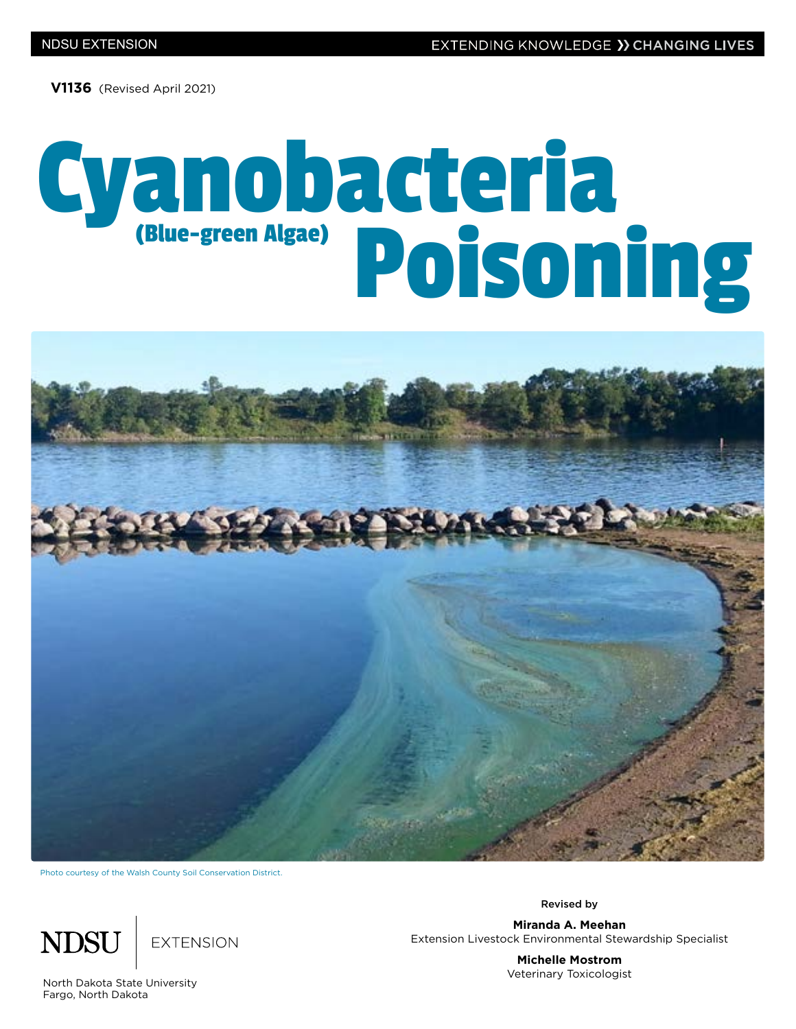**V1136** (Revised April 2021)

# Cyanobacteria<br>
<sup>Blue-green Algae)</sup> Poisoning



Photo courtesy of the Walsh County Soil Conservation District.



Revised by

**Miranda A. Meehan** Extension Livestock Environmental Stewardship Specialist

> **Michelle Mostrom** Veterinary Toxicologist

North Dakota State University Fargo, North Dakota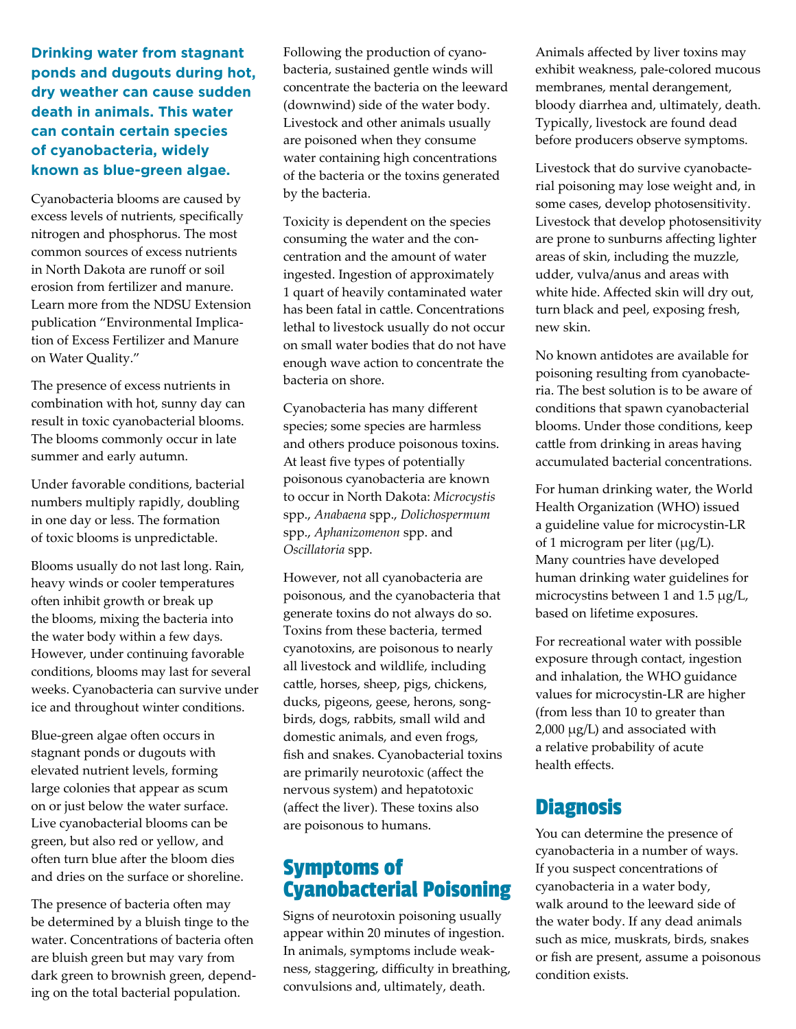**Drinking water from stagnant ponds and dugouts during hot, dry weather can cause sudden death in animals. This water can contain certain species of cyanobacteria, widely known as blue-green algae.**

Cyanobacteria blooms are caused by excess levels of nutrients, specifically nitrogen and phosphorus. The most common sources of excess nutrients in North Dakota are runoff or soil erosion from fertilizer and manure. Learn more from the NDSU Extension publication "Environmental Implication of Excess Fertilizer and Manure on Water Quality."

The presence of excess nutrients in combination with hot, sunny day can result in toxic cyanobacterial blooms. The blooms commonly occur in late summer and early autumn.

Under favorable conditions, bacterial numbers multiply rapidly, doubling in one day or less. The formation of toxic blooms is unpredictable.

Blooms usually do not last long. Rain, heavy winds or cooler temperatures often inhibit growth or break up the blooms, mixing the bacteria into the water body within a few days. However, under continuing favorable conditions, blooms may last for several weeks. Cyanobacteria can survive under ice and throughout winter conditions.

Blue-green algae often occurs in stagnant ponds or dugouts with elevated nutrient levels, forming large colonies that appear as scum on or just below the water surface. Live cyanobacterial blooms can be green, but also red or yellow, and often turn blue after the bloom dies and dries on the surface or shoreline.

The presence of bacteria often may be determined by a bluish tinge to the water. Concentrations of bacteria often are bluish green but may vary from dark green to brownish green, depending on the total bacterial population.

Following the production of cyanobacteria, sustained gentle winds will concentrate the bacteria on the leeward (downwind) side of the water body. Livestock and other animals usually are poisoned when they consume water containing high concentrations of the bacteria or the toxins generated by the bacteria.

Toxicity is dependent on the species consuming the water and the concentration and the amount of water ingested. Ingestion of approximately 1 quart of heavily contaminated water has been fatal in cattle. Concentrations lethal to livestock usually do not occur on small water bodies that do not have enough wave action to concentrate the bacteria on shore.

Cyanobacteria has many different species; some species are harmless and others produce poisonous toxins. At least five types of potentially poisonous cyanobacteria are known to occur in North Dakota: *Microcystis* spp., *Anabaena* spp., *Dolichospermum* spp., *Aphanizomenon* spp. and *Oscillatoria* spp.

However, not all cyanobacteria are poisonous, and the cyanobacteria that generate toxins do not always do so. Toxins from these bacteria, termed cyanotoxins, are poisonous to nearly all livestock and wildlife, including cattle, horses, sheep, pigs, chickens, ducks, pigeons, geese, herons, songbirds, dogs, rabbits, small wild and domestic animals, and even frogs, fish and snakes. Cyanobacterial toxins are primarily neurotoxic (affect the nervous system) and hepatotoxic (affect the liver). These toxins also are poisonous to humans.

# Symptoms of Cyanobacterial Poisoning

Signs of neurotoxin poisoning usually appear within 20 minutes of ingestion. In animals, symptoms include weakness, staggering, difficulty in breathing, convulsions and, ultimately, death.

Animals affected by liver toxins may exhibit weakness, pale-colored mucous membranes, mental derangement, bloody diarrhea and, ultimately, death. Typically, livestock are found dead before producers observe symptoms.

Livestock that do survive cyanobacterial poisoning may lose weight and, in some cases, develop photosensitivity. Livestock that develop photosensitivity are prone to sunburns affecting lighter areas of skin, including the muzzle, udder, vulva/anus and areas with white hide. Affected skin will dry out, turn black and peel, exposing fresh, new skin.

No known antidotes are available for poisoning resulting from cyanobacteria. The best solution is to be aware of conditions that spawn cyanobacterial blooms. Under those conditions, keep cattle from drinking in areas having accumulated bacterial concentrations.

For human drinking water, the World Health Organization (WHO) issued a guideline value for microcystin-LR of 1 microgram per liter (µg/L). Many countries have developed human drinking water guidelines for microcystins between 1 and 1.5 µg/L, based on lifetime exposures.

For recreational water with possible exposure through contact, ingestion and inhalation, the WHO guidance values for microcystin-LR are higher (from less than 10 to greater than 2,000 µg/L) and associated with a relative probability of acute health effects.

# **Diagnosis**

You can determine the presence of cyanobacteria in a number of ways. If you suspect concentrations of cyanobacteria in a water body, walk around to the leeward side of the water body. If any dead animals such as mice, muskrats, birds, snakes or fish are present, assume a poisonous condition exists.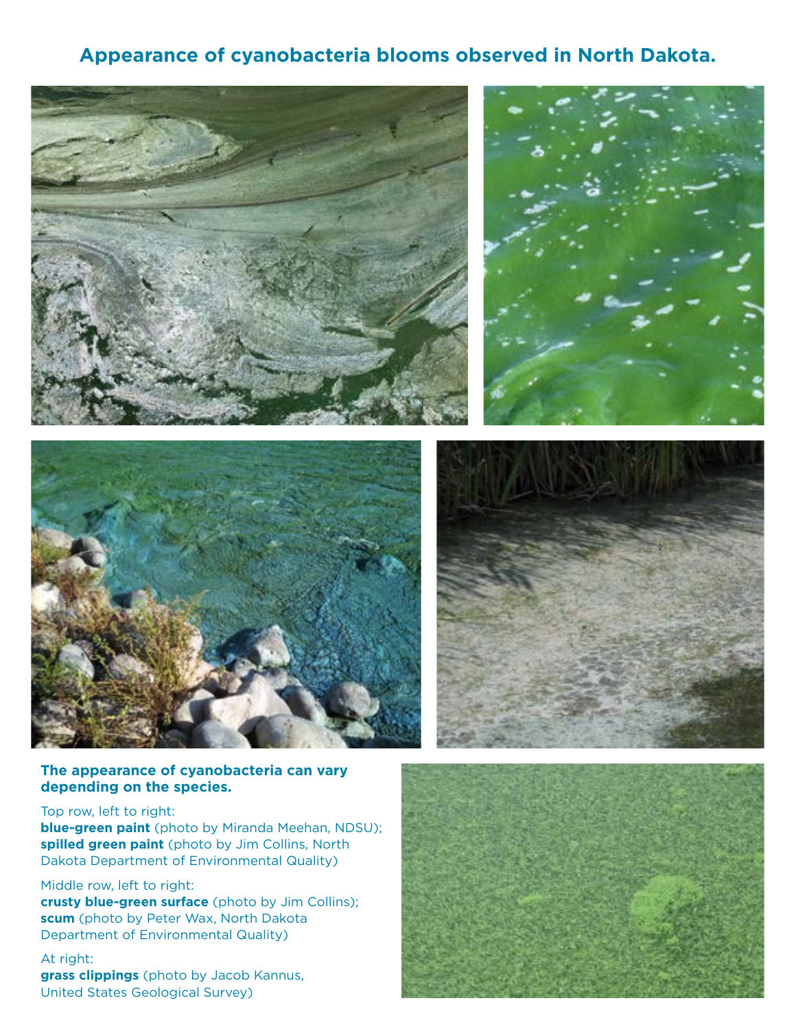# **Appearance of cyanobacteria blooms observed in North Dakota.**









# **The appearance of cyanobacteria can vary depending on the species.**

# Top row, left to right:

**blue-green paint** (photo by Miranda Meehan, NDSU); **spilled green paint** (photo by Jim Collins, North Dakota Department of Environmental Quality)

## Middle row, left to right:

**crusty blue-green surface** (photo by Jim Collins); **scum** (photo by Peter Wax, North Dakota Department of Environmental Quality)

### At right:

**grass clippings** (photo by Jacob Kannus, United States Geological Survey)